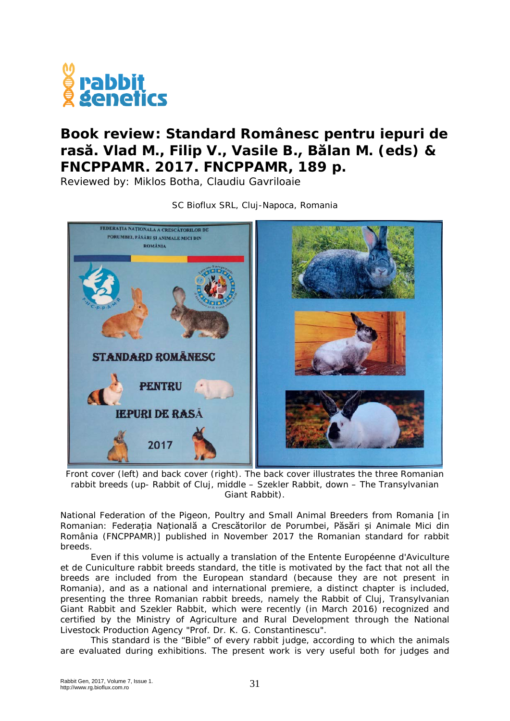

## **Book review: Standard Românesc pentru iepuri de rasă. Vlad M., Filip V., Vasile B., Bălan M. (eds) & FNCPPAMR. 2017. FNCPPAMR, 189 p.**

Reviewed by: Miklos Botha, Claudiu Gavriloaie



SC Bioflux SRL, Cluj-Napoca, Romania

Front cover (left) and back cover (right). The back cover illustrates the three Romanian rabbit breeds (up- Rabbit of Cluj, middle – Szekler Rabbit, down – The Transylvanian Giant Rabbit).

National Federation of the Pigeon, Poultry and Small Animal Breeders from Romania [in Romanian: Federația Națională a Crescătorilor de Porumbei, Păsări și Animale Mici din România (FNCPPAMR)] published in November 2017 the Romanian standard for rabbit breeds.

Even if this volume is actually a translation of the [Entente Européenne d'Aviculture](http://www.entente-ee.com/)  [et de Cuniculture](http://www.entente-ee.com/) rabbit breeds standard, the title is motivated by the fact that not all the breeds are included from the European standard (because they are not present in Romania), and as a national and international premiere, a distinct chapter is included, presenting the three Romanian rabbit breeds, namely the Rabbit of Cluj, Transylvanian Giant Rabbit and Szekler Rabbit, which were recently (in March 2016) recognized and certified by the Ministry of Agriculture and Rural Development through the National Livestock Production Agency "Prof. Dr. K. G. Constantinescu".

This standard is the "Bible" of every rabbit judge, according to which the animals are evaluated during exhibitions. The present work is very useful both for judges and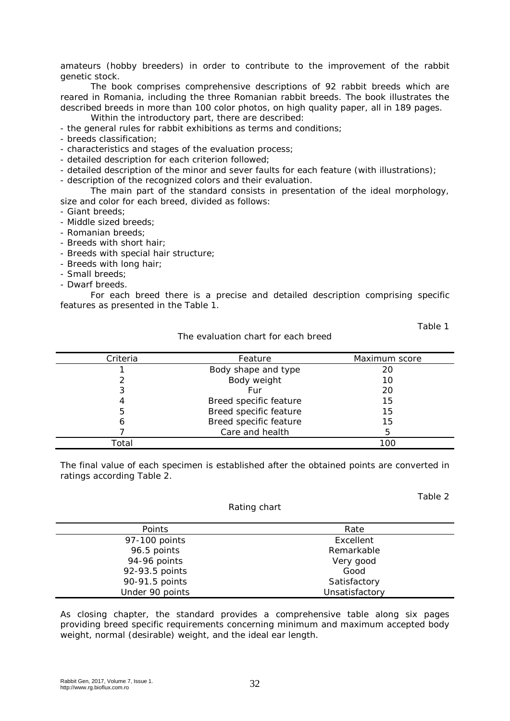amateurs (hobby breeders) in order to contribute to the improvement of the rabbit genetic stock.

The book comprises comprehensive descriptions of 92 rabbit breeds which are reared in Romania, including the three Romanian rabbit breeds. The book illustrates the described breeds in more than 100 color photos, on high quality paper, all in 189 pages.

Within the introductory part, there are described:

- the general rules for rabbit exhibitions as terms and conditions;
- breeds classification;
- characteristics and stages of the evaluation process;
- detailed description for each criterion followed;
- detailed description of the minor and sever faults for each feature (with illustrations);

- description of the recognized colors and their evaluation.

The main part of the standard consists in presentation of the ideal morphology, size and color for each breed, divided as follows:

- Giant breeds;
- Middle sized breeds;
- Romanian breeds;
- Breeds with short hair;
- Breeds with special hair structure;
- Breeds with long hair;
- Small breeds;
- Dwarf breeds.

For each breed there is a precise and detailed description comprising specific features as presented in the Table 1.

Table 1

Table 2

| Criteria | Feature                | Maximum score |
|----------|------------------------|---------------|
|          | Body shape and type    | 20            |
|          | Body weight            | 10            |
|          | Fur                    | 20            |
|          | Breed specific feature | 15            |
| 5        | Breed specific feature | 15            |
|          | Breed specific feature | 15            |
|          | Care and health        | 5             |
| Total    |                        | 100           |

## The evaluation chart for each breed

The final value of each specimen is established after the obtained points are converted in ratings according Table 2.

| Rating chart |  |  |
|--------------|--|--|
|              |  |  |

| Points          | Rate           |
|-----------------|----------------|
| 97-100 points   | Excellent      |
| 96.5 points     | Remarkable     |
| 94-96 points    | Very good      |
| 92-93.5 points  | Good           |
| 90-91.5 points  | Satisfactory   |
| Under 90 points | Unsatisfactory |

As closing chapter, the standard provides a comprehensive table along six pages providing breed specific requirements concerning minimum and maximum accepted body weight, normal (desirable) weight, and the ideal ear length.